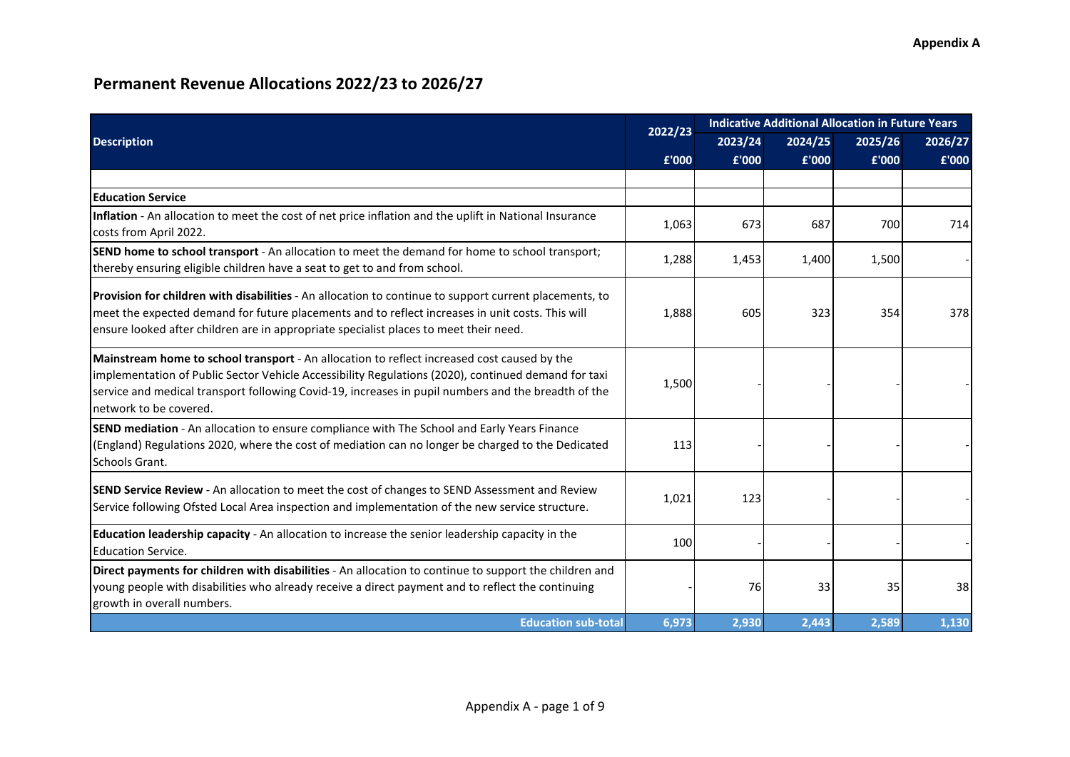|                                                                                                                                                                                                                                                                                                                                     | 2022/23 |         |         | <b>Indicative Additional Allocation in Future Years</b> |         |  |  |
|-------------------------------------------------------------------------------------------------------------------------------------------------------------------------------------------------------------------------------------------------------------------------------------------------------------------------------------|---------|---------|---------|---------------------------------------------------------|---------|--|--|
| <b>Description</b>                                                                                                                                                                                                                                                                                                                  |         | 2023/24 | 2024/25 | 2025/26                                                 | 2026/27 |  |  |
|                                                                                                                                                                                                                                                                                                                                     | £'000   | £'000   | £'000   | £'000                                                   | £'000   |  |  |
|                                                                                                                                                                                                                                                                                                                                     |         |         |         |                                                         |         |  |  |
| <b>Education Service</b>                                                                                                                                                                                                                                                                                                            |         |         |         |                                                         |         |  |  |
| Inflation - An allocation to meet the cost of net price inflation and the uplift in National Insurance<br>costs from April 2022.                                                                                                                                                                                                    | 1,063   | 673     | 687     | 700                                                     | 714     |  |  |
| SEND home to school transport - An allocation to meet the demand for home to school transport;<br>thereby ensuring eligible children have a seat to get to and from school.                                                                                                                                                         | 1,288   | 1,453   | 1,400   | 1,500                                                   |         |  |  |
| Provision for children with disabilities - An allocation to continue to support current placements, to<br>meet the expected demand for future placements and to reflect increases in unit costs. This will<br>ensure looked after children are in appropriate specialist places to meet their need.                                 | 1,888   | 605     | 323     | 354                                                     | 378     |  |  |
| Mainstream home to school transport - An allocation to reflect increased cost caused by the<br>implementation of Public Sector Vehicle Accessibility Regulations (2020), continued demand for taxi<br>service and medical transport following Covid-19, increases in pupil numbers and the breadth of the<br>network to be covered. | 1,500   |         |         |                                                         |         |  |  |
| SEND mediation - An allocation to ensure compliance with The School and Early Years Finance<br>(England) Regulations 2020, where the cost of mediation can no longer be charged to the Dedicated<br>Schools Grant.                                                                                                                  | 113     |         |         |                                                         |         |  |  |
| SEND Service Review - An allocation to meet the cost of changes to SEND Assessment and Review<br>Service following Ofsted Local Area inspection and implementation of the new service structure.                                                                                                                                    | 1,021   | 123     |         |                                                         |         |  |  |
| Education leadership capacity - An allocation to increase the senior leadership capacity in the<br><b>Education Service.</b>                                                                                                                                                                                                        | 100     |         |         |                                                         |         |  |  |
| Direct payments for children with disabilities - An allocation to continue to support the children and<br>young people with disabilities who already receive a direct payment and to reflect the continuing<br>growth in overall numbers.                                                                                           |         | 76      | 33      | 35                                                      | 38      |  |  |
| <b>Education sub-total</b>                                                                                                                                                                                                                                                                                                          | 6,973   | 2,930   | 2,443   | 2,589                                                   | 1,130   |  |  |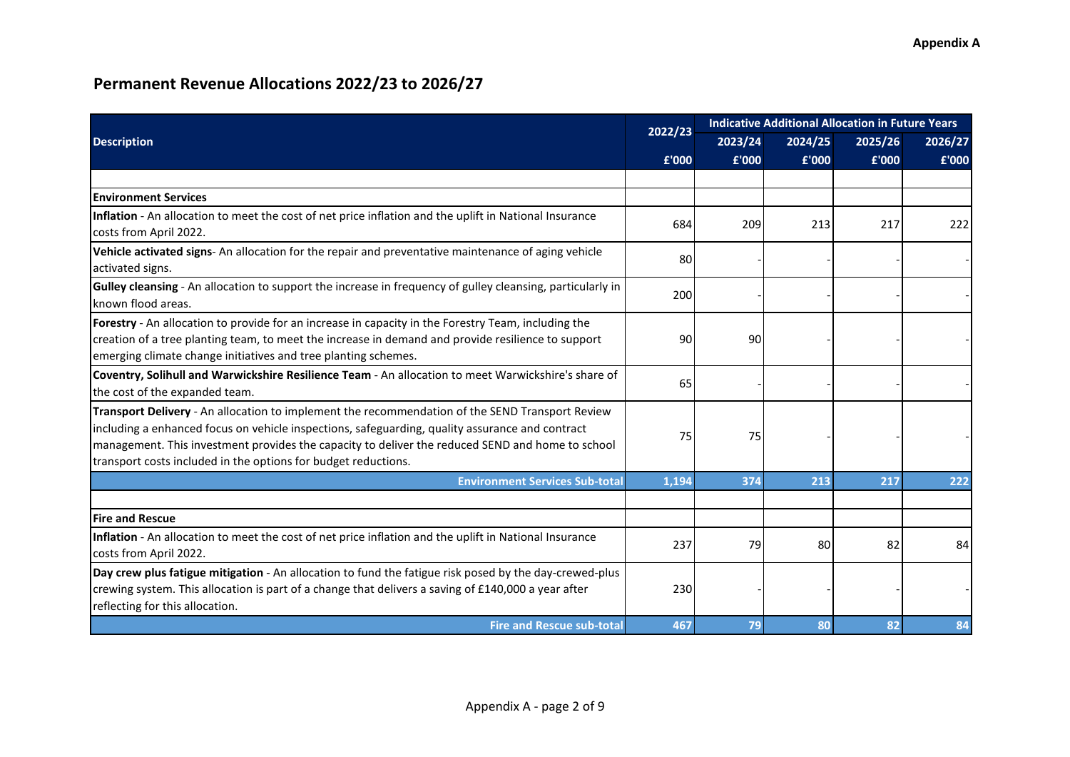|                                                                                                                                                                                                                                                                                                                                                                          | 2022/23 | <b>Indicative Additional Allocation in Future Years</b> |         |         |         |  |  |
|--------------------------------------------------------------------------------------------------------------------------------------------------------------------------------------------------------------------------------------------------------------------------------------------------------------------------------------------------------------------------|---------|---------------------------------------------------------|---------|---------|---------|--|--|
| <b>Description</b>                                                                                                                                                                                                                                                                                                                                                       |         | 2023/24                                                 | 2024/25 | 2025/26 | 2026/27 |  |  |
|                                                                                                                                                                                                                                                                                                                                                                          | £'000   | £'000                                                   | £'000   | £'000   | £'000   |  |  |
|                                                                                                                                                                                                                                                                                                                                                                          |         |                                                         |         |         |         |  |  |
| <b>Environment Services</b>                                                                                                                                                                                                                                                                                                                                              |         |                                                         |         |         |         |  |  |
| Inflation - An allocation to meet the cost of net price inflation and the uplift in National Insurance<br>costs from April 2022.                                                                                                                                                                                                                                         | 684     | 209                                                     | 213     | 217     | 222     |  |  |
| Vehicle activated signs-An allocation for the repair and preventative maintenance of aging vehicle<br>activated signs.                                                                                                                                                                                                                                                   | 80      |                                                         |         |         |         |  |  |
| Gulley cleansing - An allocation to support the increase in frequency of gulley cleansing, particularly in<br>Iknown flood areas.                                                                                                                                                                                                                                        | 200     |                                                         |         |         |         |  |  |
| Forestry - An allocation to provide for an increase in capacity in the Forestry Team, including the<br>creation of a tree planting team, to meet the increase in demand and provide resilience to support<br>emerging climate change initiatives and tree planting schemes.                                                                                              | 90      | 90                                                      |         |         |         |  |  |
| Coventry, Solihull and Warwickshire Resilience Team - An allocation to meet Warwickshire's share of<br>the cost of the expanded team.                                                                                                                                                                                                                                    | 65      |                                                         |         |         |         |  |  |
| Transport Delivery - An allocation to implement the recommendation of the SEND Transport Review<br>including a enhanced focus on vehicle inspections, safeguarding, quality assurance and contract<br>management. This investment provides the capacity to deliver the reduced SEND and home to school<br>transport costs included in the options for budget reductions. | 75      | 75                                                      |         |         |         |  |  |
| <b>Environment Services Sub-total</b>                                                                                                                                                                                                                                                                                                                                    | 1,194   | 374                                                     | 213     | 217     | 222     |  |  |
|                                                                                                                                                                                                                                                                                                                                                                          |         |                                                         |         |         |         |  |  |
| <b>Fire and Rescue</b>                                                                                                                                                                                                                                                                                                                                                   |         |                                                         |         |         |         |  |  |
| Inflation - An allocation to meet the cost of net price inflation and the uplift in National Insurance<br>costs from April 2022.                                                                                                                                                                                                                                         | 237     | 79                                                      | 80      | 82      | 84      |  |  |
| Day crew plus fatigue mitigation - An allocation to fund the fatigue risk posed by the day-crewed-plus<br>crewing system. This allocation is part of a change that delivers a saving of £140,000 a year after<br>reflecting for this allocation.                                                                                                                         | 230     |                                                         |         |         |         |  |  |
| <b>Fire and Rescue sub-total</b>                                                                                                                                                                                                                                                                                                                                         | 467     | 79                                                      | 80      | 82      | 84      |  |  |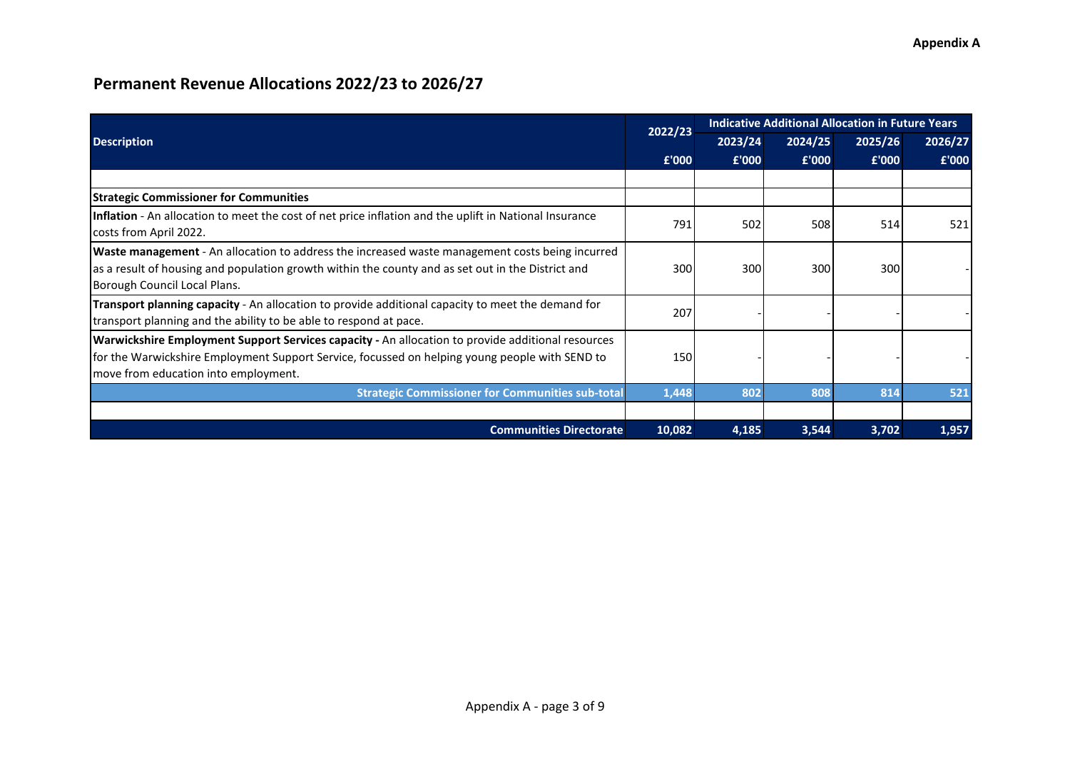|                                                                                                                                                                                                                                             | 2022/23 | <b>Indicative Additional Allocation in Future Years</b> |         |         |         |
|---------------------------------------------------------------------------------------------------------------------------------------------------------------------------------------------------------------------------------------------|---------|---------------------------------------------------------|---------|---------|---------|
| <b>Description</b>                                                                                                                                                                                                                          |         | 2023/24                                                 | 2024/25 | 2025/26 | 2026/27 |
|                                                                                                                                                                                                                                             | £'000   | £'000                                                   | £'000   | £'000   | £'000   |
|                                                                                                                                                                                                                                             |         |                                                         |         |         |         |
| <b>Strategic Commissioner for Communities</b>                                                                                                                                                                                               |         |                                                         |         |         |         |
| Inflation - An allocation to meet the cost of net price inflation and the uplift in National Insurance<br>costs from April 2022.                                                                                                            | 791     | 502                                                     | 508     | 514     | 521     |
| Waste management - An allocation to address the increased waste management costs being incurred<br>as a result of housing and population growth within the county and as set out in the District and<br>Borough Council Local Plans.        | 300     | 300                                                     | 300     | 300     |         |
| <b>Transport planning capacity</b> - An allocation to provide additional capacity to meet the demand for<br>transport planning and the ability to be able to respond at pace.                                                               | 207     |                                                         |         |         |         |
| Warwickshire Employment Support Services capacity - An allocation to provide additional resources<br>for the Warwickshire Employment Support Service, focussed on helping young people with SEND to<br>move from education into employment. | 150     |                                                         |         |         |         |
| <b>Strategic Commissioner for Communities sub-total</b>                                                                                                                                                                                     | 1,448   | 802                                                     | 808     | 814     | 521     |
|                                                                                                                                                                                                                                             |         |                                                         |         |         |         |
| <b>Communities Directorate</b>                                                                                                                                                                                                              | 10,082  | 4,185                                                   | 3,544   | 3,702   | 1,957   |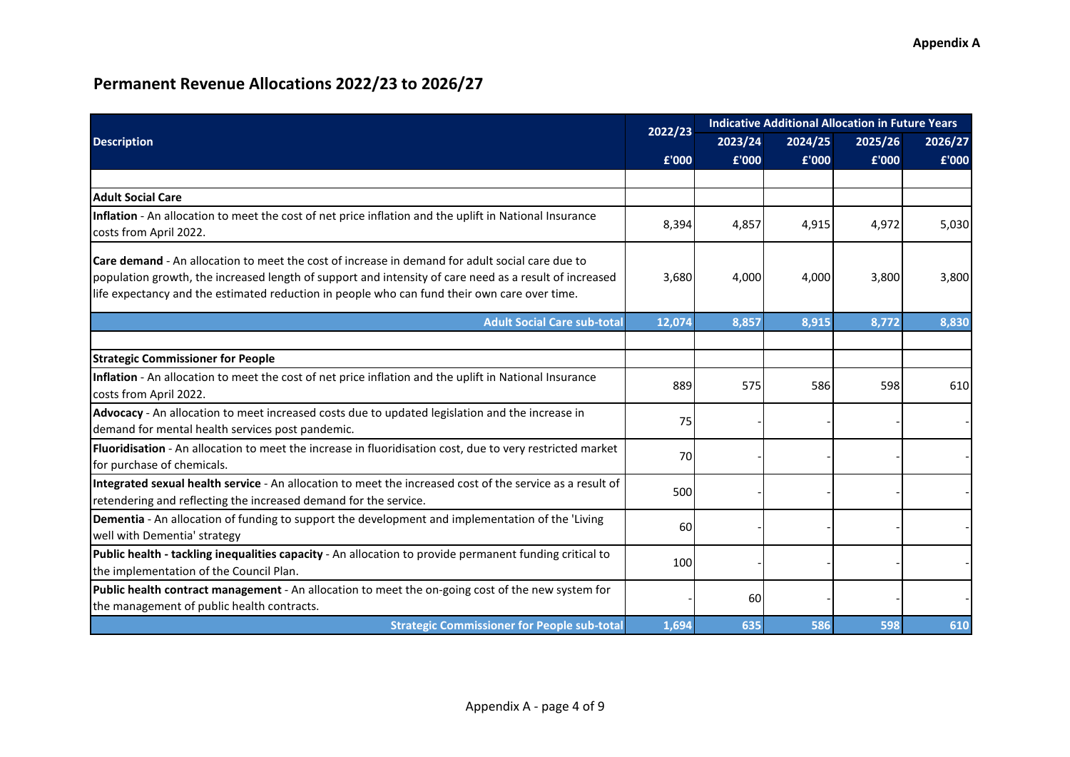|                                                                                                                                                                                                                                                                                                           |            | <b>Indicative Additional Allocation in Future Years</b><br>2022/23 |         |         |         |  |  |
|-----------------------------------------------------------------------------------------------------------------------------------------------------------------------------------------------------------------------------------------------------------------------------------------------------------|------------|--------------------------------------------------------------------|---------|---------|---------|--|--|
| <b>Description</b>                                                                                                                                                                                                                                                                                        |            | 2023/24                                                            | 2024/25 | 2025/26 | 2026/27 |  |  |
|                                                                                                                                                                                                                                                                                                           | £'000      | £'000                                                              | £'000   | £'000   | £'000   |  |  |
|                                                                                                                                                                                                                                                                                                           |            |                                                                    |         |         |         |  |  |
| <b>Adult Social Care</b>                                                                                                                                                                                                                                                                                  |            |                                                                    |         |         |         |  |  |
| Inflation - An allocation to meet the cost of net price inflation and the uplift in National Insurance<br>costs from April 2022.                                                                                                                                                                          | 8,394      | 4,857                                                              | 4,915   | 4,972   | 5,030   |  |  |
| Care demand - An allocation to meet the cost of increase in demand for adult social care due to<br>population growth, the increased length of support and intensity of care need as a result of increased<br>life expectancy and the estimated reduction in people who can fund their own care over time. | 3,680      | 4,000                                                              | 4,000   | 3,800   | 3,800   |  |  |
| <b>Adult Social Care sub-total</b>                                                                                                                                                                                                                                                                        | 12,074     | 8,857                                                              | 8,915   | 8,772   | 8,830   |  |  |
| <b>Strategic Commissioner for People</b>                                                                                                                                                                                                                                                                  |            |                                                                    |         |         |         |  |  |
| Inflation - An allocation to meet the cost of net price inflation and the uplift in National Insurance<br>costs from April 2022.                                                                                                                                                                          | 889        | 575                                                                | 586     | 598     | 610     |  |  |
| Advocacy - An allocation to meet increased costs due to updated legislation and the increase in<br>demand for mental health services post pandemic.                                                                                                                                                       | 75         |                                                                    |         |         |         |  |  |
| Fluoridisation - An allocation to meet the increase in fluoridisation cost, due to very restricted market<br>for purchase of chemicals.                                                                                                                                                                   | 70         |                                                                    |         |         |         |  |  |
| Integrated sexual health service - An allocation to meet the increased cost of the service as a result of<br>retendering and reflecting the increased demand for the service.                                                                                                                             | 500        |                                                                    |         |         |         |  |  |
| Dementia - An allocation of funding to support the development and implementation of the 'Living<br>well with Dementia' strategy                                                                                                                                                                          | 60         |                                                                    |         |         |         |  |  |
| Public health - tackling inequalities capacity - An allocation to provide permanent funding critical to<br>the implementation of the Council Plan.                                                                                                                                                        | <b>100</b> |                                                                    |         |         |         |  |  |
| Public health contract management - An allocation to meet the on-going cost of the new system for<br>the management of public health contracts.                                                                                                                                                           |            | 60                                                                 |         |         |         |  |  |
| <b>Strategic Commissioner for People sub-total</b>                                                                                                                                                                                                                                                        | 1,694      | 635                                                                | 586     | 598     | 610     |  |  |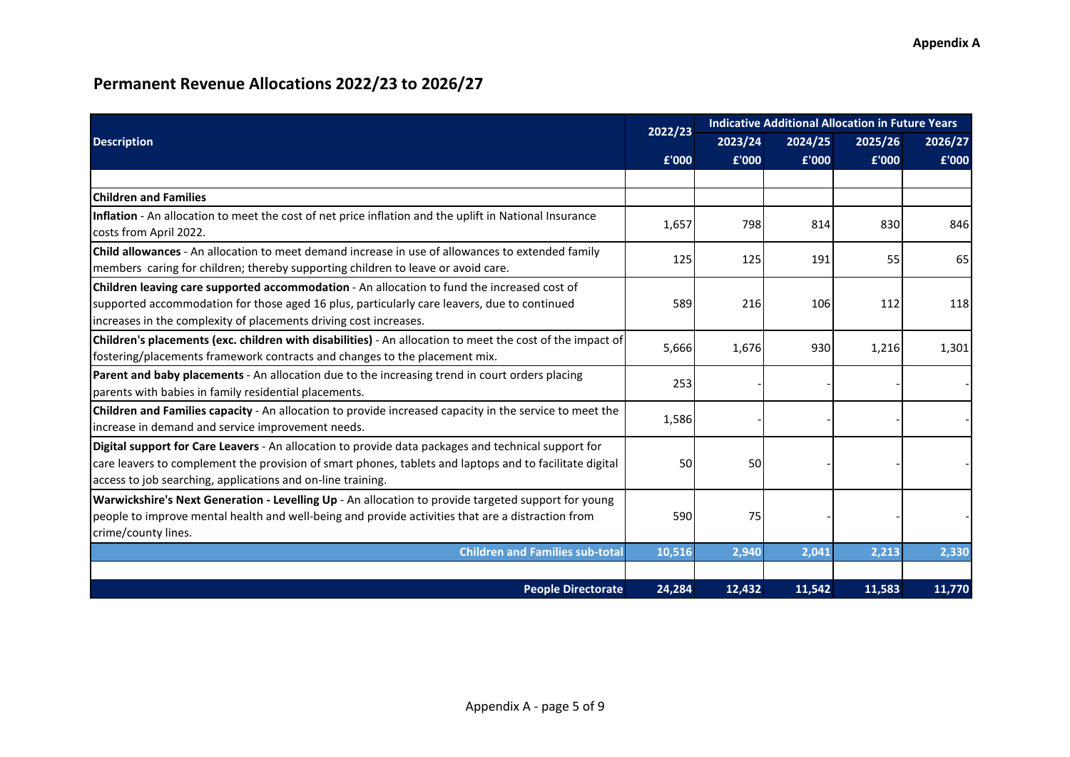|                                                                                                                                                                                                                                                                               | 2022/23 | <b>Indicative Additional Allocation in Future Years</b> |         |         |         |  |  |
|-------------------------------------------------------------------------------------------------------------------------------------------------------------------------------------------------------------------------------------------------------------------------------|---------|---------------------------------------------------------|---------|---------|---------|--|--|
| <b>Description</b>                                                                                                                                                                                                                                                            |         | 2023/24                                                 | 2024/25 | 2025/26 | 2026/27 |  |  |
|                                                                                                                                                                                                                                                                               | £'000   | £'000                                                   | £'000   | £'000   | £'000   |  |  |
|                                                                                                                                                                                                                                                                               |         |                                                         |         |         |         |  |  |
| <b>Children and Families</b>                                                                                                                                                                                                                                                  |         |                                                         |         |         |         |  |  |
| Inflation - An allocation to meet the cost of net price inflation and the uplift in National Insurance<br>costs from April 2022.                                                                                                                                              | 1,657   | 798                                                     | 814     | 830     | 846     |  |  |
| Child allowances - An allocation to meet demand increase in use of allowances to extended family<br>members caring for children; thereby supporting children to leave or avoid care.                                                                                          | 125     | 125                                                     | 191     | 55      | 65      |  |  |
| Children leaving care supported accommodation - An allocation to fund the increased cost of<br>supported accommodation for those aged 16 plus, particularly care leavers, due to continued<br>increases in the complexity of placements driving cost increases.               | 589     | 216                                                     | 106     | 112     | 118     |  |  |
| Children's placements (exc. children with disabilities) - An allocation to meet the cost of the impact of<br>fostering/placements framework contracts and changes to the placement mix.                                                                                       | 5,666   | 1,676                                                   | 930     | 1,216   | 1,301   |  |  |
| Parent and baby placements - An allocation due to the increasing trend in court orders placing<br>parents with babies in family residential placements.                                                                                                                       | 253     |                                                         |         |         |         |  |  |
| Children and Families capacity - An allocation to provide increased capacity in the service to meet the<br>increase in demand and service improvement needs.                                                                                                                  | 1,586   |                                                         |         |         |         |  |  |
| Digital support for Care Leavers - An allocation to provide data packages and technical support for<br>care leavers to complement the provision of smart phones, tablets and laptops and to facilitate digital<br>access to job searching, applications and on-line training. | 50      | 50                                                      |         |         |         |  |  |
| Warwickshire's Next Generation - Levelling Up - An allocation to provide targeted support for young<br>people to improve mental health and well-being and provide activities that are a distraction from<br>crime/county lines.                                               | 590     | 75                                                      |         |         |         |  |  |
| <b>Children and Families sub-total</b>                                                                                                                                                                                                                                        | 10,516  | 2,940                                                   | 2,041   | 2,213   | 2,330   |  |  |
|                                                                                                                                                                                                                                                                               |         |                                                         |         |         |         |  |  |
| <b>People Directorate</b>                                                                                                                                                                                                                                                     | 24,284  | 12,432                                                  | 11,542  | 11,583  | 11,770  |  |  |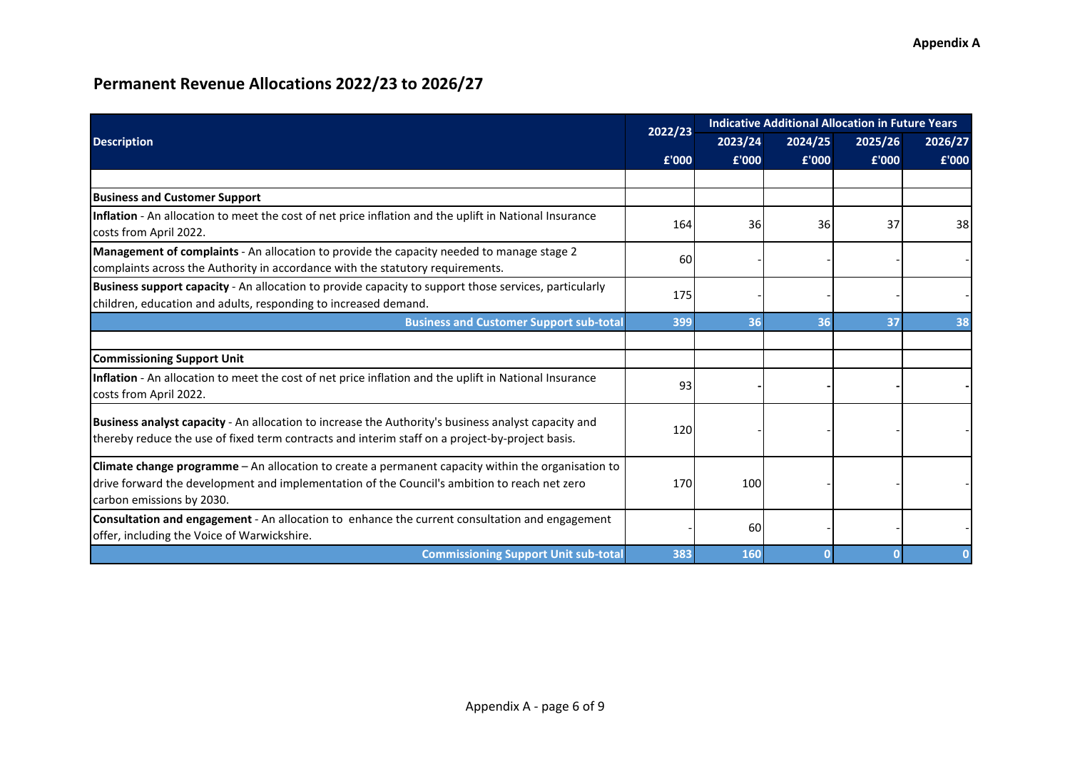|                                                                                                                                                                                                                                 | 2022/23 | <b>Indicative Additional Allocation in Future Years</b> |         |         |         |  |
|---------------------------------------------------------------------------------------------------------------------------------------------------------------------------------------------------------------------------------|---------|---------------------------------------------------------|---------|---------|---------|--|
| <b>Description</b>                                                                                                                                                                                                              |         | 2023/24                                                 | 2024/25 | 2025/26 | 2026/27 |  |
|                                                                                                                                                                                                                                 | £'000   | £'000                                                   | £'000   | £'000   | £'000   |  |
|                                                                                                                                                                                                                                 |         |                                                         |         |         |         |  |
| <b>Business and Customer Support</b>                                                                                                                                                                                            |         |                                                         |         |         |         |  |
| Inflation - An allocation to meet the cost of net price inflation and the uplift in National Insurance<br>costs from April 2022.                                                                                                | 164     | <b>36</b>                                               | 36      | 37      | 38      |  |
| Management of complaints - An allocation to provide the capacity needed to manage stage 2<br>complaints across the Authority in accordance with the statutory requirements.                                                     | 60      |                                                         |         |         |         |  |
| Business support capacity - An allocation to provide capacity to support those services, particularly<br>children, education and adults, responding to increased demand.                                                        | 175     |                                                         |         |         |         |  |
| <b>Business and Customer Support sub-total</b>                                                                                                                                                                                  | 399     | 36                                                      | 36      | 37      | 38      |  |
|                                                                                                                                                                                                                                 |         |                                                         |         |         |         |  |
| <b>Commissioning Support Unit</b>                                                                                                                                                                                               |         |                                                         |         |         |         |  |
| Inflation - An allocation to meet the cost of net price inflation and the uplift in National Insurance<br>costs from April 2022.                                                                                                | 93      |                                                         |         |         |         |  |
| Business analyst capacity - An allocation to increase the Authority's business analyst capacity and<br>thereby reduce the use of fixed term contracts and interim staff on a project-by-project basis.                          | 120     |                                                         |         |         |         |  |
| Climate change programme - An allocation to create a permanent capacity within the organisation to<br>drive forward the development and implementation of the Council's ambition to reach net zero<br>carbon emissions by 2030. | 170     | 100                                                     |         |         |         |  |
| Consultation and engagement - An allocation to enhance the current consultation and engagement<br>offer, including the Voice of Warwickshire.                                                                                   |         | 60                                                      |         |         |         |  |
| <b>Commissioning Support Unit sub-total</b>                                                                                                                                                                                     | 383     | 160                                                     |         |         |         |  |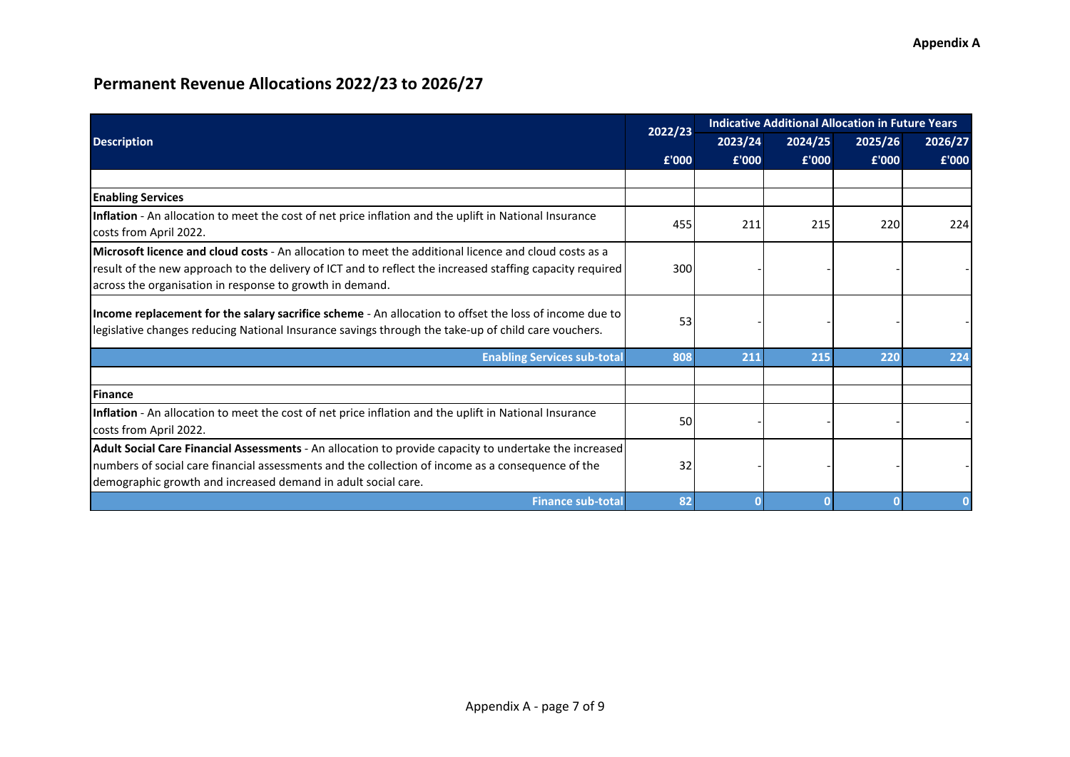|                                                                                                                                                                                                                                                                                | 2022/23 | <b>Indicative Additional Allocation in Future Years</b> |         |         |         |
|--------------------------------------------------------------------------------------------------------------------------------------------------------------------------------------------------------------------------------------------------------------------------------|---------|---------------------------------------------------------|---------|---------|---------|
| <b>Description</b>                                                                                                                                                                                                                                                             |         | 2023/24                                                 | 2024/25 | 2025/26 | 2026/27 |
|                                                                                                                                                                                                                                                                                | £'000   | £'000                                                   | £'000   | £'000   | £'000   |
|                                                                                                                                                                                                                                                                                |         |                                                         |         |         |         |
| <b>Enabling Services</b>                                                                                                                                                                                                                                                       |         |                                                         |         |         |         |
| Inflation - An allocation to meet the cost of net price inflation and the uplift in National Insurance<br>costs from April 2022.                                                                                                                                               | 455     | 211                                                     | 215     | 220     | 224     |
| Microsoft licence and cloud costs - An allocation to meet the additional licence and cloud costs as a<br>result of the new approach to the delivery of ICT and to reflect the increased staffing capacity required<br>across the organisation in response to growth in demand. | 300     |                                                         |         |         |         |
| Income replacement for the salary sacrifice scheme - An allocation to offset the loss of income due to<br>legislative changes reducing National Insurance savings through the take-up of child care vouchers.                                                                  | 53      |                                                         |         |         |         |
| <b>Enabling Services sub-total</b>                                                                                                                                                                                                                                             | 808     | 211                                                     | 215     | 220     | 224     |
|                                                                                                                                                                                                                                                                                |         |                                                         |         |         |         |
| Finance                                                                                                                                                                                                                                                                        |         |                                                         |         |         |         |
| Inflation - An allocation to meet the cost of net price inflation and the uplift in National Insurance<br>costs from April 2022.                                                                                                                                               | 50      |                                                         |         |         |         |
| Adult Social Care Financial Assessments - An allocation to provide capacity to undertake the increased<br>numbers of social care financial assessments and the collection of income as a consequence of the<br>demographic growth and increased demand in adult social care.   | 32      |                                                         |         |         |         |
| <b>Finance sub-total</b>                                                                                                                                                                                                                                                       | 82      |                                                         |         |         |         |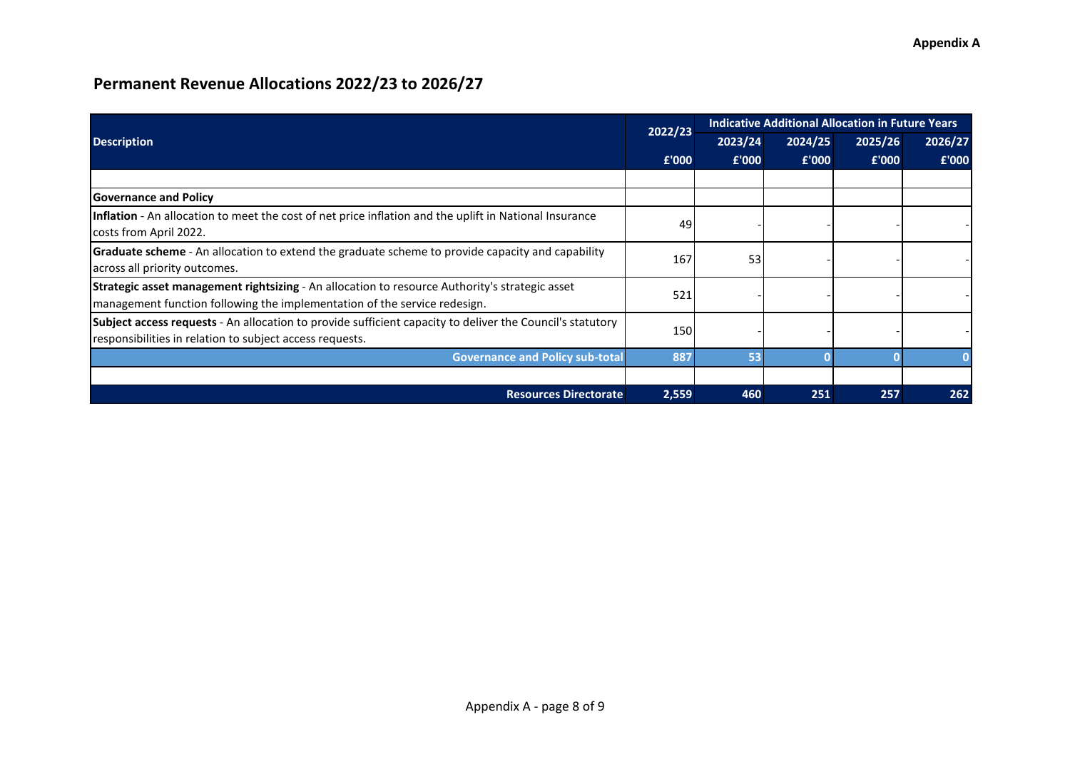|                                                                                                                                                                                    |       | <b>Indicative Additional Allocation in Future Years</b><br>2022/23 |         |         |         |  |  |
|------------------------------------------------------------------------------------------------------------------------------------------------------------------------------------|-------|--------------------------------------------------------------------|---------|---------|---------|--|--|
| <b>Description</b>                                                                                                                                                                 |       | 2023/24                                                            | 2024/25 | 2025/26 | 2026/27 |  |  |
|                                                                                                                                                                                    | £'000 | £'000                                                              | £'000   | £'000   | £'000   |  |  |
|                                                                                                                                                                                    |       |                                                                    |         |         |         |  |  |
| <b>Governance and Policy</b>                                                                                                                                                       |       |                                                                    |         |         |         |  |  |
| Inflation - An allocation to meet the cost of net price inflation and the uplift in National Insurance<br>costs from April 2022.                                                   | 49    |                                                                    |         |         |         |  |  |
| <b>Graduate scheme</b> - An allocation to extend the graduate scheme to provide capacity and capability<br>across all priority outcomes.                                           | 167   | 53                                                                 |         |         |         |  |  |
| <b>Strategic asset management rightsizing</b> - An allocation to resource Authority's strategic asset<br>management function following the implementation of the service redesign. | 521   |                                                                    |         |         |         |  |  |
| Subject access requests - An allocation to provide sufficient capacity to deliver the Council's statutory<br>responsibilities in relation to subject access requests.              | 150   |                                                                    |         |         |         |  |  |
| <b>Governance and Policy sub-total</b>                                                                                                                                             | 887   | 53                                                                 |         |         |         |  |  |
|                                                                                                                                                                                    |       |                                                                    |         |         |         |  |  |
| <b>Resources Directorate</b>                                                                                                                                                       | 2,559 | 460                                                                | 251     | 257     | 262     |  |  |